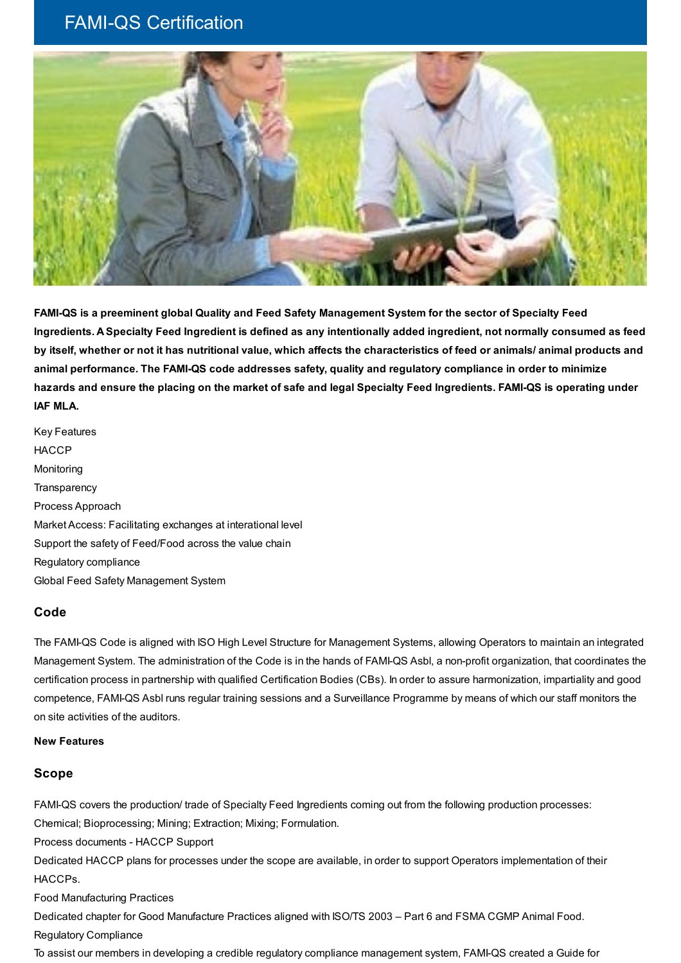## FAMI-QS Certification



**FAMI-QS is a preeminent global Quality and Feed Safety Management System for the sector of Specialty Feed** Ingredients. A Specialty Feed Ingredient is defined as any intentionally added ingredient, not normally consumed as feed by itself, whether or not it has nutritional value, which affects the characteristics of feed or animals/animal products and **animal performance. The FAMI-QS code addresses safety, quality and regulatory compliance in order to minimize** hazards and ensure the placing on the market of safe and legal Specialty Feed Ingredients. FAMI-QS is operating under **IAF MLA.**

Key Features **HACCP** Monitoring **Transparency** Process Approach Market Access: Facilitating exchanges at interational level Support the safety of Feed/Food across the value chain Regulatory compliance Global Feed Safety Management System

## **Code**

The FAMI-QS Code is aligned with ISO High Level Structure for Management Systems, allowing Operators to maintain an integrated Management System. The administration of the Code is in the hands of FAMI-QS Asbl, a non-profit organization, that coordinates the certification process in partnership with qualified Certification Bodies (CBs). In order to assure harmonization, impartiality and good competence, FAMI-QS Asbl runs regular training sessions and a Surveillance Programme by means of which our staff monitors the on site activities of the auditors.

## **New Features**

## **Scope**

FAMI-QS covers the production/ trade of Specialty Feed Ingredients coming out from the following production processes: Chemical; Bioprocessing; Mining; Extraction; Mixing; Formulation.

Process documents - HACCP Support

Dedicated HACCP plans for processes under the scope are available, in order to support Operators implementation of their HACCPs.

Food Manufacturing Practices

Dedicated chapter for Good Manufacture Practices aligned with ISO/TS 2003 – Part 6 and FSMA CGMP Animal Food.

Regulatory Compliance

To assist our members in developing a credible regulatory compliance management system, FAMI-QS created a Guide for